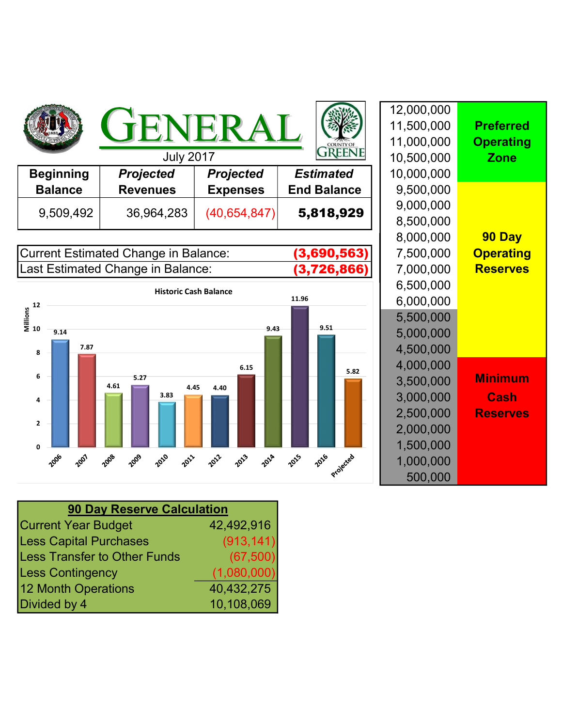|                  | JENEI<br><b>July 2017</b> |                  |                    | 12,000,000<br>11,500,000<br>11,000,000 |
|------------------|---------------------------|------------------|--------------------|----------------------------------------|
|                  |                           |                  |                    | 10,500,000                             |
| <b>Beginning</b> | <b>Projected</b>          | <b>Projected</b> | <b>Estimated</b>   | 10,000,000                             |
| <b>Balance</b>   | <b>Revenues</b>           | <b>Expenses</b>  | <b>End Balance</b> | 9,500,000                              |
| 9,509,492        | 36,964,283                | (40, 654, 847)   | 5,818,929          | 9,000,000                              |
|                  |                           |                  |                    | 8,500,000                              |

Current Estimated Change in Balance: **(3,690,563)** | 7,500,000 **Operating** Last Estimated Change in Balance: **(3,726,866)** | 7,000,000 Reserves



|                  | 12,000,000 |                  |
|------------------|------------|------------------|
|                  | 11,500,000 | <b>Preferred</b> |
|                  | 11,000,000 | <b>Operating</b> |
| <b>FREENI</b>    | 10,500,000 | <b>Zone</b>      |
| mated            | 10,000,000 |                  |
| <b>Balance</b>   | 9,500,000  |                  |
| 18,929           | 9,000,000  |                  |
|                  | 8,500,000  |                  |
|                  | 8,000,000  | 90 Day           |
| 90,563)          | 7,500,000  | <b>Operating</b> |
| 26,866)          | 7,000,000  | <b>Reserves</b>  |
|                  | 6,500,000  |                  |
|                  | 6,000,000  |                  |
|                  | 5,500,000  |                  |
| 9.51             | 5,000,000  |                  |
|                  | 4,500,000  |                  |
| 5.82             | 4,000,000  |                  |
|                  | 3,500,000  | <b>Minimum</b>   |
|                  | 3,000,000  | <b>Cash</b>      |
|                  | 2,500,000  | <b>Reserves</b>  |
|                  | 2,000,000  |                  |
|                  | 1,500,000  |                  |
| 316<br>Projected | 1,000,000  |                  |
|                  | 500,000    |                  |

| <b>90 Day Reserve Calculation</b>   |             |  |  |  |
|-------------------------------------|-------------|--|--|--|
| <b>Current Year Budget</b>          | 42,492,916  |  |  |  |
| <b>Less Capital Purchases</b>       | (913, 141)  |  |  |  |
| <b>Less Transfer to Other Funds</b> | (67, 500)   |  |  |  |
| <b>Less Contingency</b>             | (1,080,000) |  |  |  |
| 12 Month Operations                 | 40,432,275  |  |  |  |
| Divided by 4                        | 10,108,069  |  |  |  |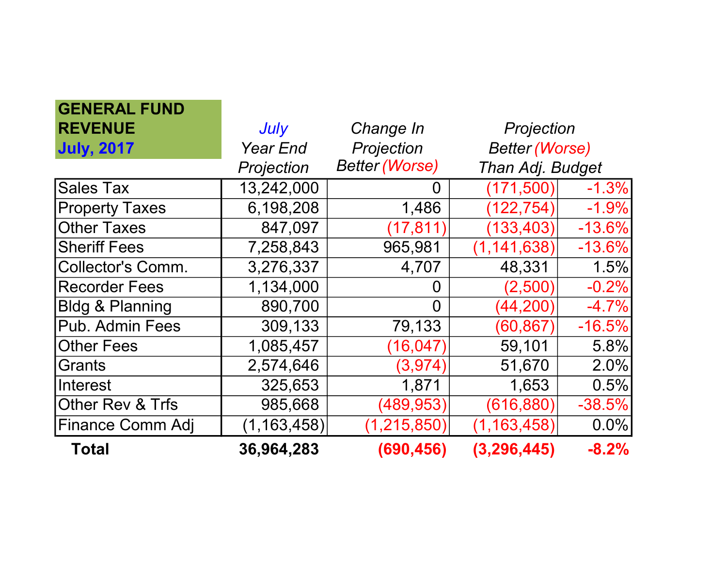| <b>GENERAL FUND</b>         |                 |                       |                       |          |
|-----------------------------|-----------------|-----------------------|-----------------------|----------|
| <b>REVENUE</b>              | July            | Change In             | Projection            |          |
| <b>July, 2017</b>           | <b>Year End</b> | Projection            | <b>Better (Worse)</b> |          |
|                             | Projection      | <b>Better (Worse)</b> | Than Adj. Budget      |          |
| Sales Tax                   | 13,242,000      | 0                     | (171, 500)            | $-1.3%$  |
| <b>Property Taxes</b>       | 6,198,208       | 1,486                 | (122, 754)            | $-1.9%$  |
| <b>Other Taxes</b>          | 847,097         | (17, 811)             | (133, 403)            | $-13.6%$ |
| <b>Sheriff Fees</b>         | 7,258,843       | 965,981               | (1, 141, 638)         | $-13.6%$ |
| Collector's Comm.           | 3,276,337       | 4,707                 | 48,331                | 1.5%     |
| <b>Recorder Fees</b>        | 1,134,000       | 0                     | (2,500)               | $-0.2%$  |
| <b>Bidg &amp; Planning</b>  | 890,700         | $\Omega$              | (44, 200)             | $-4.7%$  |
| Pub. Admin Fees             | 309,133         | 79,133                | (60, 867)             | $-16.5%$ |
| <b>Other Fees</b>           | 1,085,457       | (16, 047)             | 59,101                | 5.8%     |
| <b>IGrants</b>              | 2,574,646       | (3, 974)              | 51,670                | 2.0%     |
| <b>Interest</b>             | 325,653         | 1,871                 | 1,653                 | 0.5%     |
| <b>Other Rev &amp; Trfs</b> | 985,668         | (489, 953)            | (616, 880)            | $-38.5%$ |
| Finance Comm Adj            | (1, 163, 458)   | (1, 215, 850)         | (1, 163, 458)         | 0.0%     |
| <b>Total</b>                | 36,964,283      | (690, 456)            | (3, 296, 445)         | $-8.2%$  |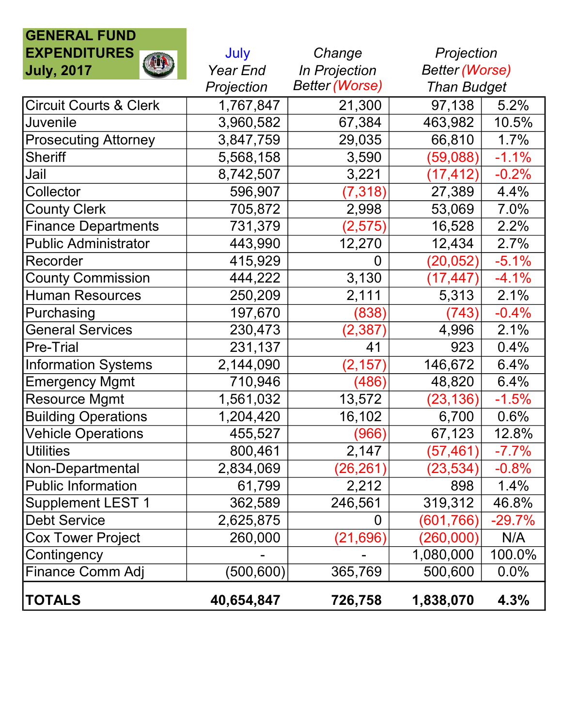## GENERAL FUND EXPENDITURES July Change

| <b>EXPENDITURES</b>               | July       | Change                | Projection            |          |
|-----------------------------------|------------|-----------------------|-----------------------|----------|
| <b>July, 2017</b>                 | Year End   | In Projection         | <b>Better (Worse)</b> |          |
|                                   | Projection | <b>Better (Worse)</b> | <b>Than Budget</b>    |          |
| <b>Circuit Courts &amp; Clerk</b> | 1,767,847  | 21,300                | 97,138                | 5.2%     |
| <b>Juvenile</b>                   | 3,960,582  | 67,384                | 463,982               | 10.5%    |
| <b>Prosecuting Attorney</b>       | 3,847,759  | 29,035                | 66,810                | 1.7%     |
| <b>Sheriff</b>                    | 5,568,158  | 3,590                 | (59,088)              | $-1.1%$  |
| Jail                              | 8,742,507  | 3,221                 | (17, 412)             | $-0.2%$  |
| Collector                         | 596,907    | (7, 318)              | 27,389                | 4.4%     |
| <b>County Clerk</b>               | 705,872    | 2,998                 | 53,069                | 7.0%     |
| <b>Finance Departments</b>        | 731,379    | (2, 575)              | 16,528                | 2.2%     |
| <b>Public Administrator</b>       | 443,990    | 12,270                | 12,434                | 2.7%     |
| Recorder                          | 415,929    | 0                     | (20, 052)             | $-5.1%$  |
| <b>County Commission</b>          | 444,222    | 3,130                 | (17, 447)             | $-4.1%$  |
| <b>Human Resources</b>            | 250,209    | 2,111                 | 5,313                 | 2.1%     |
| Purchasing                        | 197,670    | (838)                 | (743)                 | $-0.4%$  |
| <b>General Services</b>           | 230,473    | (2, 387)              | 4,996                 | 2.1%     |
| <b>Pre-Trial</b>                  | 231,137    | 41                    | 923                   | 0.4%     |
| <b>Information Systems</b>        | 2,144,090  | (2, 157)              | 146,672               | 6.4%     |
| <b>Emergency Mgmt</b>             | 710,946    | (486)                 | 48,820                | 6.4%     |
| <b>Resource Mgmt</b>              | 1,561,032  | 13,572                | (23, 136)             | $-1.5%$  |
| <b>Building Operations</b>        | 1,204,420  | 16,102                | 6,700                 | 0.6%     |
| <b>Vehicle Operations</b>         | 455,527    | (966)                 | 67,123                | 12.8%    |
| <b>Utilities</b>                  | 800,461    | 2,147                 | (57, 461)             | $-7.7%$  |
| Non-Departmental                  | 2,834,069  | (26, 261)             | (23, 534)             | $-0.8%$  |
| <b>Public Information</b>         | 61,799     | 2,212                 | 898                   | 1.4%     |
| <b>Supplement LEST 1</b>          | 362,589    | 246,561               | 319,312               | 46.8%    |
| <b>Debt Service</b>               | 2,625,875  | 0                     | (601, 766)            | $-29.7%$ |
| <b>Cox Tower Project</b>          | 260,000    | (21, 696)             | (260,000)             | N/A      |
| Contingency                       |            |                       | 1,080,000             | 100.0%   |
| <b>Finance Comm Adj</b>           | (500, 600) | 365,769               | 500,600               | 0.0%     |
| <b>TOTALS</b>                     | 40,654,847 | 726,758               | 1,838,070             | 4.3%     |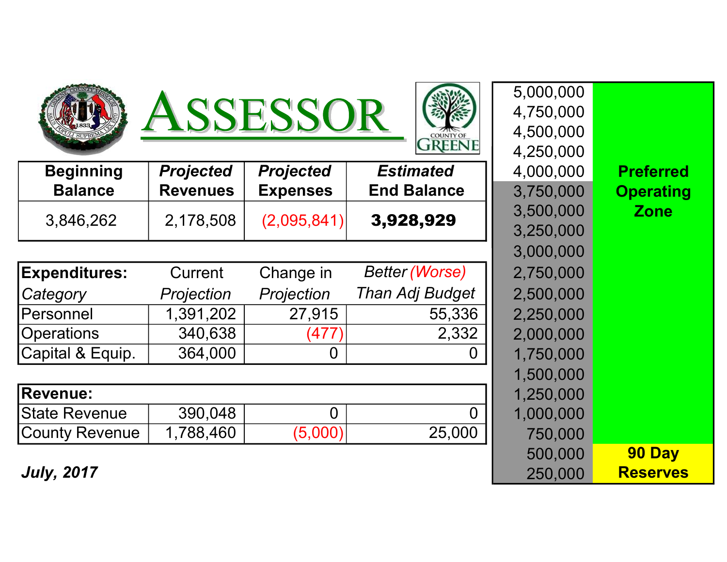





| <b>Beginning</b> | <b>Projected</b> | <b>Projected</b> | <b>Estimated</b>   | 4,000,000 | <b>Preferred</b> |
|------------------|------------------|------------------|--------------------|-----------|------------------|
| <b>Balance</b>   | <b>Revenues</b>  | <b>Expenses</b>  | <b>End Balance</b> | 3,750,000 | <b>Operating</b> |
|                  |                  |                  | 3,928,929          | 3,500,000 | <b>Zone</b>      |
| 3,846,262        | 2,178,508        | (2,095,841)      |                    | 3,250,000 |                  |

| <b>Expenditures:</b>  | Current    | Change in  | <b>Better (Worse)</b> | 2,750,000 |
|-----------------------|------------|------------|-----------------------|-----------|
| Category              | Projection | Projection | Than Adj Budget       | 2,500,000 |
| <b>Personnel</b>      | 1,391,202  | 27,915     | 55,336                | 2,250,000 |
| <b>Operations</b>     | 340,638    | (477)      | 2,332                 | 2,000,000 |
| Capital & Equip.      | 364,000    |            | 0                     | 1,750,000 |
|                       |            |            |                       | 1,500,000 |
| <b>Revenue:</b>       |            |            |                       | 1,250,000 |
| <b>State Revenue</b>  | 390,048    |            | $\overline{0}$        | 1,000,000 |
| <b>County Revenue</b> | 1,788,460  | (5,000)    | 25,000                | 750,000   |

| 4,250,000                     |  |
|-------------------------------|--|
|                               |  |
| 4,000,000<br><b>Preferred</b> |  |
| 3,750,000<br><b>Operating</b> |  |
| 3,500,000<br><b>Zone</b>      |  |
| 3,250,000                     |  |
| 3,000,000                     |  |
| 2,750,000                     |  |
| 2,500,000                     |  |
| 2,250,000                     |  |
| 2,000,000                     |  |
| 1,750,000                     |  |
| 1,500,000                     |  |
| 1,250,000                     |  |
| 1,000,000                     |  |
| 750,000                       |  |
| 500,000<br>90 Day             |  |
| <b>Reserves</b><br>250,000    |  |

5,000,000

4,750,000

**July, 2017**